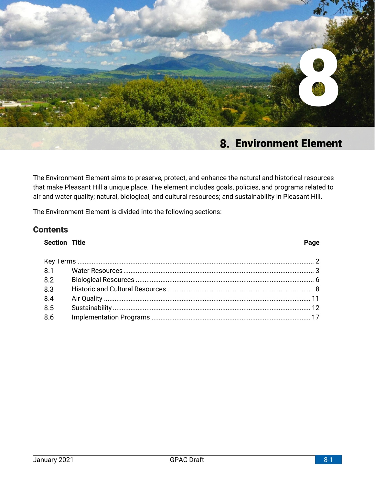

# **Environment Element**

The Environment Element aims to preserve, protect, and enhance the natural and historical resources that make Pleasant Hill a unique place. The element includes goals, policies, and programs related to air and water quality; natural, biological, and cultural resources; and sustainability in Pleasant Hill.

The Environment Element is divided into the following sections:

# **Contents**

# **Section Title Page**

#### Key Terms [......................................................................................................................................](#page-1-0) 2  $8.1$ [Water Resources............................................................................................................](#page-2-0) 3  $8.2$ Biological Resources [.....................................................................................................](#page-5-0) 6  $8.3$ Historic and Cultural Resources [...................................................................................](#page-7-0) 8  $8.4$ Air Quality [.....................................................................................................................](#page-10-0) 11 8.5 Sustainability [................................................................................................................](#page-11-0) 12 8.6 Implementation Programs [..........................................................................................](#page-16-0) 17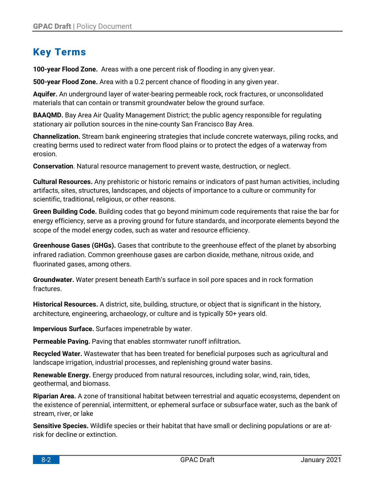# <span id="page-1-0"></span>**Key Terms**

**100-year Flood Zone.** Areas with a one percent risk of flooding in any given year.

**500-year Flood Zone.** Area with a 0.2 percent chance of flooding in any given year.

**Aquifer.** An underground layer of water-bearing permeable rock, rock fractures, or unconsolidated materials that can contain or transmit groundwater below the ground surface.

**BAAQMD.** Bay Area Air Quality Management District; the public agency responsible for regulating stationary air pollution sources in the nine-county San Francisco Bay Area.

**Channelization.** Stream bank engineering strategies that include concrete waterways, piling rocks, and creating berms used to redirect water from flood plains or to protect the edges of a waterway from erosion.

**Conservation**. Natural resource management to prevent waste, destruction, or neglect.

**Cultural Resources.** Any prehistoric or historic remains or indicators of past human activities, including artifacts, sites, structures, landscapes, and objects of importance to a culture or community for scientific, traditional, religious, or other reasons.

**Green Building Code.** Building codes that go beyond minimum code requirements that raise the bar for energy efficiency, serve as a proving ground for future standards, and incorporate elements beyond the scope of the model energy codes, such as water and resource efficiency.

**Greenhouse Gases (GHGs).** Gases that contribute to the greenhouse effect of the planet by absorbing infrared radiation. Common greenhouse gases are carbon dioxide, methane, nitrous oxide, and fluorinated gases, among others.

**Groundwater.** Water present beneath Earth's surface in soil pore spaces and in rock formation fractures.

**Historical Resources.** A district, site, building, structure, or object that is significant in the history, architecture, engineering, archaeology, or culture and is typically 50+ years old.

**Impervious Surface.** Surfaces impenetrable by water.

**Permeable Paving.** Paving that enables stormwater runoff infiltration**.**

**Recycled Water.** Wastewater that has been treated for beneficial purposes such as agricultural and landscape irrigation, industrial processes, and replenishing ground water basins.

**Renewable Energy.** Energy produced from natural resources, including solar, wind, rain, tides, geothermal, and biomass.

**Riparian Area.** A zone of transitional habitat between terrestrial and aquatic ecosystems, dependent on the existence of perennial, intermittent, or ephemeral surface or subsurface water, such as the bank of stream, river, or lake

**Sensitive Species.** Wildlife species or their habitat that have small or declining populations or are atrisk for decline or extinction.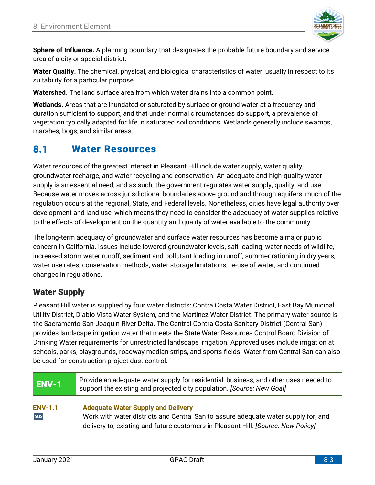

**Sphere of Influence.** A planning boundary that designates the probable future boundary and service area of a city or special district.

**Water Quality.** The chemical, physical, and biological characteristics of water, usually in respect to its suitability for a particular purpose.

**Watershed.** The land surface area from which water drains into a common point.

**Wetlands.** Areas that are inundated or saturated by surface or ground water at a frequency and duration sufficient to support, and that under normal circumstances do support, a prevalence of vegetation typically adapted for life in saturated soil conditions. Wetlands generally include swamps, marshes, bogs, and similar areas.

#### <span id="page-2-0"></span>8.1 **Water Resources**

Water resources of the greatest interest in Pleasant Hill include water supply, water quality, groundwater recharge, and water recycling and conservation. An adequate and high-quality water supply is an essential need, and as such, the government regulates water supply, quality, and use. Because water moves across jurisdictional boundaries above ground and through aquifers, much of the regulation occurs at the regional, State, and Federal levels. Nonetheless, cities have legal authority over development and land use, which means they need to consider the adequacy of water supplies relative to the effects of development on the quantity and quality of water available to the community.

The long-term adequacy of groundwater and surface water resources has become a major public concern in California. Issues include lowered groundwater levels, salt loading, water needs of wildlife, increased storm water runoff, sediment and pollutant loading in runoff, summer rationing in dry years, water use rates, conservation methods, water storage limitations, re-use of water, and continued changes in regulations.

# **Water Supply**

Pleasant Hill water is supplied by four water districts: Contra Costa Water District, East Bay Municipal Utility District, Diablo Vista Water System, and the Martinez Water District. The primary water source is the Sacramento-San-Joaquin River Delta. The Central Contra Costa Sanitary District (Central San) provides landscape irrigation water that meets the State Water Resources Control Board Division of Drinking Water requirements for unrestricted landscape irrigation. Approved uses include irrigation at schools, parks, playgrounds, roadway median strips, and sports fields. Water from Central San can also be used for construction project dust control.

| ENV-1                 | Provide an adequate water supply for residential, business, and other uses needed to<br>support the existing and projected city population. [Source: New Goal]                                                       |  |  |  |  |
|-----------------------|----------------------------------------------------------------------------------------------------------------------------------------------------------------------------------------------------------------------|--|--|--|--|
| <b>ENV-1.1</b><br>sus | <b>Adequate Water Supply and Delivery</b><br>Work with water districts and Central San to assure adequate water supply for, and<br>delivery to, existing and future customers in Pleasant Hill. [Source: New Policy] |  |  |  |  |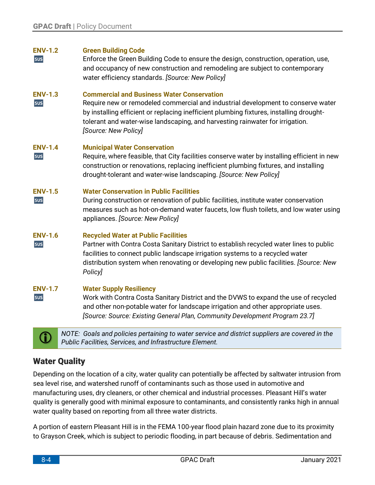# **ENV-1.2 Green Building Code**

sus Enforce the Green Building Code to ensure the design, construction, operation, use, and occupancy of new construction and remodeling are subject to contemporary water efficiency standards. *[Source: New Policy]*

# **ENV-1.3 Commercial and Business Water Conservation**

sus Require new or remodeled commercial and industrial development to conserve water by installing efficient or replacing inefficient plumbing fixtures, installing droughttolerant and water-wise landscaping, and harvesting rainwater for irrigation. *[Source: New Policy]*

## **ENV-1.4 Municipal Water Conservation**

sus Require, where feasible, that City facilities conserve water by installing efficient in new construction or renovations, replacing inefficient plumbing fixtures, and installing drought-tolerant and water-wise landscaping. *[Source: New Policy]*

# **ENV-1.5 Water Conservation in Public Facilities**

sus During construction or renovation of public facilities, institute water conservation measures such as hot-on-demand water faucets, low flush toilets, and low water using appliances. *[Source: New Policy]*

## **ENV-1.6 Recycled Water at Public Facilities**

sus Partner with Contra Costa Sanitary District to establish recycled water lines to public facilities to connect public landscape irrigation systems to a recycled water distribution system when renovating or developing new public facilities. *[Source: New Policy]*

## **ENV-1.7 Water Supply Resiliency**

sus Work with Contra Costa Sanitary District and the DVWS to expand the use of recycled and other non-potable water for landscape irrigation and other appropriate uses. *[Source: Source: Existing General Plan, Community Development Program 23.7]*



**NOTE:** Goals and policies pertaining to water service and district suppliers are covered in the **Contract of the analyzing of the contract of the contract of the contract of the service and district suppliers are covered** *Public Facilities, Services, and Infrastructure Element.*

# **Water Quality**

Depending on the location of a city, water quality can potentially be affected by saltwater intrusion from sea level rise, and watershed runoff of contaminants such as those used in automotive and manufacturing uses, dry cleaners, or other chemical and industrial processes. Pleasant Hill's water quality is generally good with minimal exposure to contaminants, and consistently ranks high in annual water quality based on reporting from all three water districts.

A portion of eastern Pleasant Hill is in the FEMA 100-year flood plain hazard zone due to its proximity to Grayson Creek, which is subject to periodic flooding, in part because of debris. Sedimentation and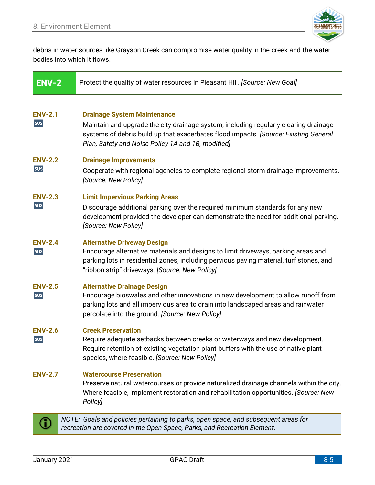

debris in water sources like Grayson Creek can compromise water quality in the creek and the water bodies into which it flows.

| <b>ENV-2</b>          | Protect the quality of water resources in Pleasant Hill. [Source: New Goal]                                                                                                                                                                                              |
|-----------------------|--------------------------------------------------------------------------------------------------------------------------------------------------------------------------------------------------------------------------------------------------------------------------|
| <b>ENV-2.1</b><br>sus | <b>Drainage System Maintenance</b><br>Maintain and upgrade the city drainage system, including regularly clearing drainage<br>systems of debris build up that exacerbates flood impacts. [Source: Existing General<br>Plan, Safety and Noise Policy 1A and 1B, modified] |
| <b>ENV-2.2</b><br>sus | <b>Drainage Improvements</b><br>Cooperate with regional agencies to complete regional storm drainage improvements.<br>[Source: New Policy]                                                                                                                               |
| <b>ENV-2.3</b><br>sus | <b>Limit Impervious Parking Areas</b><br>Discourage additional parking over the required minimum standards for any new<br>development provided the developer can demonstrate the need for additional parking.<br>[Source: New Policy]                                    |
| <b>ENV-2.4</b><br>sus | <b>Alternative Driveway Design</b><br>Encourage alternative materials and designs to limit driveways, parking areas and<br>parking lots in residential zones, including pervious paving material, turf stones, and<br>"ribbon strip" driveways. [Source: New Policy]     |
| <b>ENV-2.5</b><br>sus | <b>Alternative Drainage Design</b><br>Encourage bioswales and other innovations in new development to allow runoff from<br>parking lots and all impervious area to drain into landscaped areas and rainwater<br>percolate into the ground. [Source: New Policy]          |
| <b>ENV-2.6</b><br>sus | <b>Creek Preservation</b><br>Require adequate setbacks between creeks or waterways and new development.<br>Require retention of existing vegetation plant buffers with the use of native plant<br>species, where feasible. [Source: New Policy]                          |
| <b>ENV-2.7</b>        | <b>Watercourse Preservation</b><br>Preserve natural watercourses or provide naturalized drainage channels within the city.<br>Where feasible, implement restoration and rehabilitation opportunities. [Source: New<br>Policy]                                            |
|                       | NOTE: Goals and policies pertaining to parks, open space, and subsequent areas for<br>recreation are covered in the Open Space, Parks, and Recreation Element.                                                                                                           |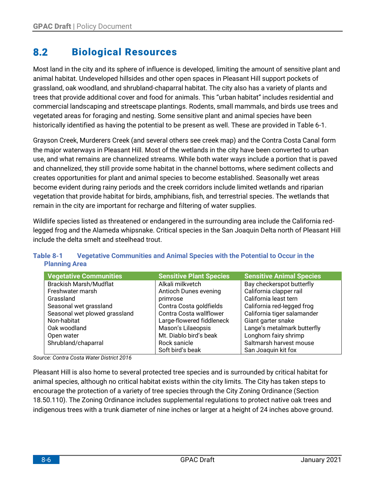#### <span id="page-5-0"></span>8.2 **Biological Resources**

Most land in the city and its sphere of influence is developed, limiting the amount of sensitive plant and animal habitat. Undeveloped hillsides and other open spaces in Pleasant Hill support pockets of grassland, oak woodland, and shrubland-chaparral habitat. The city also has a variety of plants and trees that provide additional cover and food for animals. This "urban habitat" includes residential and commercial landscaping and streetscape plantings. Rodents, small mammals, and birds use trees and vegetated areas for foraging and nesting. Some sensitive plant and animal species have been historically identified as having the potential to be present as well. These are provided in Table 6-1.

Grayson Creek, Murderers Creek (and several others see creek map) and the Contra Costa Canal form the major waterways in Pleasant Hill. Most of the wetlands in the city have been converted to urban use, and what remains are channelized streams. While both water ways include a portion that is paved and channelized, they still provide some habitat in the channel bottoms, where sediment collects and creates opportunities for plant and animal species to become established. Seasonally wet areas become evident during rainy periods and the creek corridors include limited wetlands and riparian vegetation that provide habitat for birds, amphibians, fish, and terrestrial species. The wetlands that remain in the city are important for recharge and filtering of water supplies.

Wildlife species listed as threatened or endangered in the surrounding area include the California redlegged frog and the Alameda whipsnake. Critical species in the San Joaquin Delta north of Pleasant Hill include the delta smelt and steelhead trout.

| <b>Vegetative Communities</b> | <b>Sensitive Plant Species</b> | <b>Sensitive Animal Species</b> |
|-------------------------------|--------------------------------|---------------------------------|
| <b>Brackish Marsh/Mudflat</b> | Alkali milkvetch               | Bay checkerspot butterfly       |
| Freshwater marsh              | Antioch Dunes evening          | California clapper rail         |
| Grassland                     | primrose                       | California least tern           |
| Seasonal wet grassland        | Contra Costa goldfields        | California red-legged frog      |
| Seasonal wet plowed grassland | Contra Costa wallflower        | California tiger salamander     |
| Non-habitat                   | Large-flowered fiddleneck      | Giant garter snake              |
| Oak woodland                  | Mason's Lilaeopsis             | Lange's metalmark butterfly     |
| Open water                    | Mt. Diablo bird's beak         | Longhorn fairy shrimp           |
| Shrubland/chaparral           | Rock sanicle                   | Saltmarsh harvest mouse         |
|                               | Soft bird's beak               | San Joaquin kit fox             |

# **Table 8-1 Vegetative Communities and Animal Species with the Potential to Occur in the Planning Area**

*Source: Contra Costa Water District 2016*

Pleasant Hill is also home to several protected tree species and is surrounded by critical habitat for animal species, although no critical habitat exists within the city limits. The City has taken steps to encourage the protection of a variety of tree species through the City Zoning Ordinance (Section 18.50.110). The Zoning Ordinance includes supplemental regulations to protect native oak trees and indigenous trees with a trunk diameter of nine inches or larger at a height of 24 inches above ground.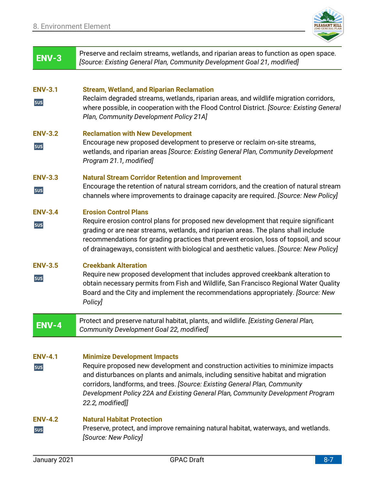

| $ENV-3$               | Preserve and reclaim streams, wetlands, and riparian areas to function as open space.<br>[Source: Existing General Plan, Community Development Goal 21, modified]                                                                                                                                                                                                                                 |
|-----------------------|---------------------------------------------------------------------------------------------------------------------------------------------------------------------------------------------------------------------------------------------------------------------------------------------------------------------------------------------------------------------------------------------------|
| <b>ENV-3.1</b><br>sus | <b>Stream, Wetland, and Riparian Reclamation</b><br>Reclaim degraded streams, wetlands, riparian areas, and wildlife migration corridors,<br>where possible, in cooperation with the Flood Control District. [Source: Existing General<br>Plan, Community Development Policy 21A]                                                                                                                 |
| <b>ENV-3.2</b><br>sus | <b>Reclamation with New Development</b><br>Encourage new proposed development to preserve or reclaim on-site streams,<br>wetlands, and riparian areas [Source: Existing General Plan, Community Development<br>Program 21.1, modified]                                                                                                                                                            |
| <b>ENV-3.3</b><br>sus | <b>Natural Stream Corridor Retention and Improvement</b><br>Encourage the retention of natural stream corridors, and the creation of natural stream<br>channels where improvements to drainage capacity are required. [Source: New Policy]                                                                                                                                                        |
| <b>ENV-3.4</b><br>sus | <b>Erosion Control Plans</b><br>Require erosion control plans for proposed new development that require significant<br>grading or are near streams, wetlands, and riparian areas. The plans shall include<br>recommendations for grading practices that prevent erosion, loss of topsoil, and scour<br>of drainageways, consistent with biological and aesthetic values. [Source: New Policy]     |
| <b>ENV-3.5</b><br>sus | <b>Creekbank Alteration</b><br>Require new proposed development that includes approved creekbank alteration to<br>obtain necessary permits from Fish and Wildlife, San Francisco Regional Water Quality<br>Board and the City and implement the recommendations appropriately. [Source: New<br>Policy]                                                                                            |
| <b>ENV-4</b>          | Protect and preserve natural habitat, plants, and wildlife. [Existing General Plan,<br>Community Development Goal 22, modified]                                                                                                                                                                                                                                                                   |
| <b>ENV-4.1</b><br>sus | <b>Minimize Development Impacts</b><br>Require proposed new development and construction activities to minimize impacts<br>and disturbances on plants and animals, including sensitive habitat and migration<br>corridors, landforms, and trees. [Source: Existing General Plan, Community<br>Development Policy 22A and Existing General Plan, Community Development Program<br>22.2, modified]] |
| <b>ENV-4.2</b><br>sus | <b>Natural Habitat Protection</b><br>Preserve, protect, and improve remaining natural habitat, waterways, and wetlands.<br>[Source: New Policy]                                                                                                                                                                                                                                                   |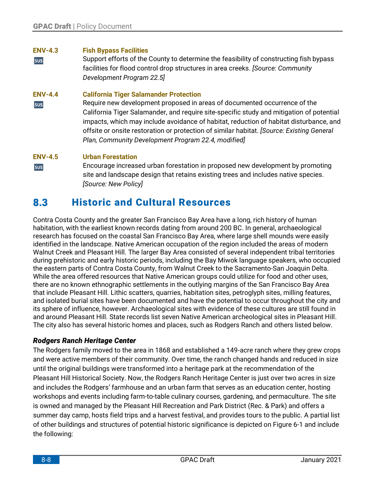# **ENV-4.3 Fish Bypass Facilities**

Support efforts of the County to determine the feasibility of constructing fish bypass sus facilities for flood control drop structures in area creeks. *[Source: Community Development Program 22.5]*

# **ENV-4.4 California Tiger Salamander Protection**

Require new development proposed in areas of documented occurrence of the sus California Tiger Salamander, and require site-specific study and mitigation of potential impacts, which may include avoidance of habitat, reduction of habitat disturbance, and offsite or onsite restoration or protection of similar habitat. *[Source: Existing General Plan, Community Development Program 22.4, modified]*

# **ENV-4.5 Urban Forestation**

Encourage increased urban forestation in proposed new development by promoting sus site and landscape design that retains existing trees and includes native species. *[Source: New Policy]*

#### <span id="page-7-0"></span> $8.3$ **Historic and Cultural Resources**

Contra Costa County and the greater San Francisco Bay Area have a long, rich history of human habitation, with the earliest known records dating from around 200 BC. In general, archaeological research has focused on the coastal San Francisco Bay Area, where large shell mounds were easily identified in the landscape. Native American occupation of the region included the areas of modern Walnut Creek and Pleasant Hill. The larger Bay Area consisted of several independent tribal territories during prehistoric and early historic periods, including the Bay Miwok language speakers, who occupied the eastern parts of Contra Costa County, from Walnut Creek to the Sacramento-San Joaquin Delta. While the area offered resources that Native American groups could utilize for food and other uses, there are no known ethnographic settlements in the outlying margins of the San Francisco Bay Area that include Pleasant Hill. Lithic scatters, quarries, habitation sites, petroglyph sites, milling features, and isolated burial sites have been documented and have the potential to occur throughout the city and its sphere of influence, however. Archaeological sites with evidence of these cultures are still found in and around Pleasant Hill. State records list seven Native American archeological sites in Pleasant Hill. The city also has several historic homes and places, such as Rodgers Ranch and others listed below.

# *Rodgers Ranch Heritage Center*

The Rodgers family moved to the area in 1868 and established a 149-acre ranch where they grew crops and were active members of their community. Over time, the ranch changed hands and reduced in size until the original buildings were transformed into a heritage park at the recommendation of the Pleasant Hill Historical Society. Now, the Rodgers Ranch Heritage Center is just over two acres in size and includes the Rodgers' farmhouse and an urban farm that serves as an education center, hosting workshops and events including farm-to-table culinary courses, gardening, and permaculture. The site is owned and managed by the Pleasant Hill Recreation and Park District (Rec. & Park) and offers a summer day camp, hosts field trips and a harvest festival, and provides tours to the public. A partial list of other buildings and structures of potential historic significance is depicted on Figure 6-1 and include the following: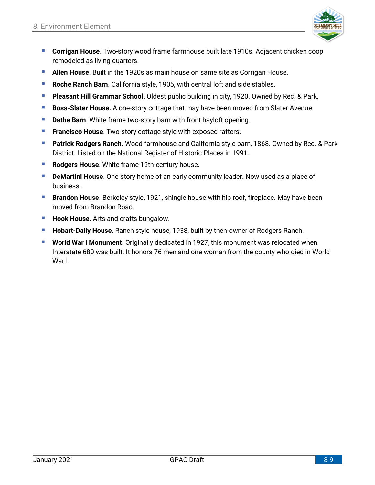

- **E Corrigan House**. Two-story wood frame farmhouse built late 1910s. Adjacent chicken coop remodeled as living quarters.
- **E** Allen House. Built in the 1920s as main house on same site as Corrigan House.
- **E** Roche Ranch Barn. California style, 1905, with central loft and side stables.
- **Pleasant Hill Grammar School**. Oldest public building in city, 1920. Owned by Rec. & Park.
- **Boss-Slater House.** A one-story cottage that may have been moved from Slater Avenue.
- **E** Dathe Barn. White frame two-story barn with front hayloft opening.
- **Francisco House**. Two-story cottage style with exposed rafters.
- **Patrick Rodgers Ranch**. Wood farmhouse and California style barn, 1868. Owned by Rec. & Park District. Listed on the National Register of Historic Places in 1991.
- **Rodgers House**. White frame 19th-century house.
- **DeMartini House**. One-story home of an early community leader. Now used as a place of business.
- **Exambon House**. Berkeley style, 1921, shingle house with hip roof, fireplace. May have been moved from Brandon Road.
- **Hook House**. Arts and crafts bungalow.
- **Hobart-Daily House**. Ranch style house, 1938, built by then-owner of Rodgers Ranch.
- **World War I Monument**. Originally dedicated in 1927, this monument was relocated when Interstate 680 was built. It honors 76 men and one woman from the county who died in World War I.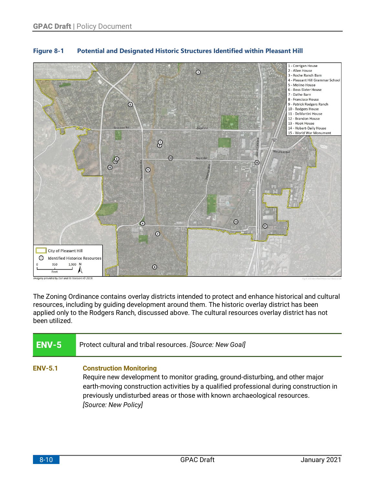

# **Figure 8-1 Potential and Designated Historic Structures Identified within Pleasant Hill**

The Zoning Ordinance contains overlay districts intended to protect and enhance historical and cultural resources, including by guiding development around them. The historic overlay district has been applied only to the Rodgers Ranch, discussed above. The cultural resources overlay district has not been utilized.

| ENV-5          | Protect cultural and tribal resources. [Source: New Goal]                                                                                                                                                                                                                                                         |
|----------------|-------------------------------------------------------------------------------------------------------------------------------------------------------------------------------------------------------------------------------------------------------------------------------------------------------------------|
| <b>ENV-5.1</b> | <b>Construction Monitoring</b><br>Require new development to monitor grading, ground-disturbing, and other major<br>earth-moving construction activities by a qualified professional during construction in<br>previously undisturbed areas or those with known archaeological resources.<br>[Source: New Policy] |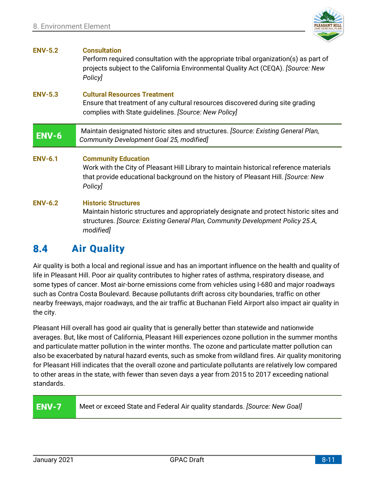

| <b>ENV-5.2</b> | <b>Consultation</b><br>Perform required consultation with the appropriate tribal organization(s) as part of<br>projects subject to the California Environmental Quality Act (CEQA). [Source: New<br><b>Policy</b> |
|----------------|-------------------------------------------------------------------------------------------------------------------------------------------------------------------------------------------------------------------|
| <b>ENV-5.3</b> | <b>Cultural Resources Treatment</b><br>Ensure that treatment of any cultural resources discovered during site grading<br>complies with State guidelines. [Source: New Policy]                                     |
| <b>ENV-6</b>   | Maintain designated historic sites and structures. [Source: Existing General Plan,<br>Community Development Goal 25, modified]                                                                                    |
| <b>ENV-6.1</b> | <b>Community Education</b>                                                                                                                                                                                        |
|                | Work with the City of Pleasant Hill Library to maintain historical reference materials<br>that provide educational background on the history of Pleasant Hill. [Source: New<br>Policy]                            |

#### <span id="page-10-0"></span>8.4 **Air Quality**

Air quality is both a local and regional issue and has an important influence on the health and quality of life in Pleasant Hill. Poor air quality contributes to higher rates of asthma, respiratory disease, and some types of cancer. Most air-borne emissions come from vehicles using I-680 and major roadways such as Contra Costa Boulevard. Because pollutants drift across city boundaries, traffic on other nearby freeways, major roadways, and the air traffic at Buchanan Field Airport also impact air quality in the city.

Pleasant Hill overall has good air quality that is generally better than statewide and nationwide averages. But, like most of California, Pleasant Hill experiences ozone pollution in the summer months and particulate matter pollution in the winter months. The ozone and particulate matter pollution can also be exacerbated by natural hazard events, such as smoke from wildland fires. Air quality monitoring for Pleasant Hill indicates that the overall ozone and particulate pollutants are relatively low compared to other areas in the state, with fewer than seven days a year from 2015 to 2017 exceeding national standards.

# **ENV-7**

Meet or exceed State and Federal Air quality standards. *[Source: New Goal]*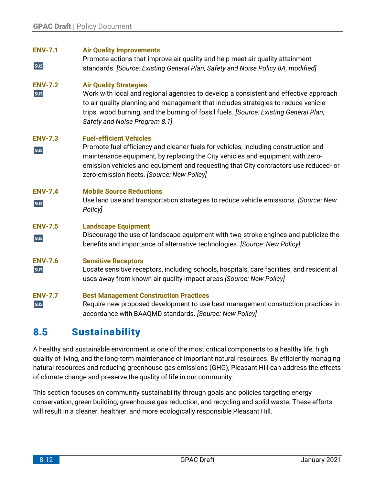| <b>ENV-7.1</b><br>sus | <b>Air Quality Improvements</b><br>Promote actions that improve air quality and help meet air quality attainment<br>standards. [Source: Existing General Plan, Safety and Noise Policy 8A, modified]                                                                                                                                         |
|-----------------------|----------------------------------------------------------------------------------------------------------------------------------------------------------------------------------------------------------------------------------------------------------------------------------------------------------------------------------------------|
| <b>ENV-7.2</b><br>sus | <b>Air Quality Strategies</b><br>Work with local and regional agencies to develop a consistent and effective approach<br>to air quality planning and management that includes strategies to reduce vehicle<br>trips, wood burning, and the burning of fossil fuels. [Source: Existing General Plan,<br>Safety and Noise Program 8.1]         |
| <b>ENV-7.3</b><br>sus | <b>Fuel-efficient Vehicles</b><br>Promote fuel efficiency and cleaner fuels for vehicles, including construction and<br>maintenance equipment, by replacing the City vehicles and equipment with zero-<br>emission vehicles and equipment and requesting that City contractors use reduced- or<br>zero-emission fleets. [Source: New Policy] |
| <b>ENV-7.4</b>        | <b>Mobile Source Reductions</b>                                                                                                                                                                                                                                                                                                              |
| sus                   | Use land use and transportation strategies to reduce vehicle emissions. [Source: New<br>Policy]                                                                                                                                                                                                                                              |
| <b>ENV-7.5</b><br>sus | <b>Landscape Equipment</b><br>Discourage the use of landscape equipment with two-stroke engines and publicize the<br>benefits and importance of alternative technologies. [Source: New Policy]                                                                                                                                               |
| <b>ENV-7.6</b><br>sus | <b>Sensitive Receptors</b><br>Locate sensitive receptors, including schools, hospitals, care facilities, and residential<br>uses away from known air quality impact areas [Source: New Policy]                                                                                                                                               |

#### <span id="page-11-0"></span>8.5 **Sustainability**

A healthy and sustainable environment is one of the most critical components to a healthy life, high quality of living, and the long-term maintenance of important natural resources. By efficiently managing natural resources and reducing greenhouse gas emissions (GHG), Pleasant Hill can address the effects of climate change and preserve the quality of life in our community.

This section focuses on community sustainability through goals and policies targeting energy conservation, green building, greenhouse gas reduction, and recycling and solid waste. These efforts will result in a cleaner, healthier, and more ecologically responsible Pleasant Hill.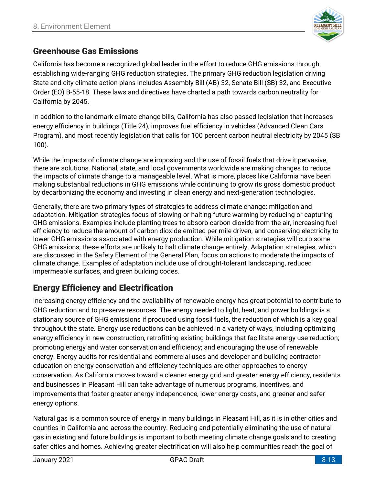

# **Greenhouse Gas Emissions**

California has become a recognized global leader in the effort to reduce GHG emissions through establishing wide-ranging GHG reduction strategies. The primary GHG reduction legislation driving State and city climate action plans includes Assembly Bill (AB) 32, Senate Bill (SB) 32, and Executive Order (EO) B-55-18. These laws and directives have charted a path towards carbon neutrality for California by 2045.

In addition to the landmark climate change bills, California has also passed legislation that increases energy efficiency in buildings (Title 24), improves fuel efficiency in vehicles (Advanced Clean Cars Program), and most recently legislation that calls for 100 percent carbon neutral electricity by 2045 (SB 100).

While the impacts of climate change are imposing and the use of fossil fuels that drive it pervasive, there are solutions. National, state, and local governments worldwide are making changes to reduce the impacts of climate change to a manageable level. What is more, places like California have been making substantial reductions in GHG emissions while continuing to grow its gross domestic product by decarbonizing the economy and investing in clean energy and next-generation technologies.

Generally, there are two primary types of strategies to address climate change: mitigation and adaptation. Mitigation strategies focus of slowing or halting future warming by reducing or capturing GHG emissions. Examples include planting trees to absorb carbon dioxide from the air, increasing fuel efficiency to reduce the amount of carbon dioxide emitted per mile driven, and conserving electricity to lower GHG emissions associated with energy production. While mitigation strategies will curb some GHG emissions, these efforts are unlikely to halt climate change entirely. Adaptation strategies, which are discussed in the Safety Element of the General Plan, focus on actions to moderate the impacts of climate change. Examples of adaptation include use of drought-tolerant landscaping, reduced impermeable surfaces, and green building codes.

# **Energy Efficiency and Electrification**

Increasing energy efficiency and the availability of renewable energy has great potential to contribute to GHG reduction and to preserve resources. The energy needed to light, heat, and power buildings is a stationary source of GHG emissions if produced using fossil fuels, the reduction of which is a key goal throughout the state. Energy use reductions can be achieved in a variety of ways, including optimizing energy efficiency in new construction, retrofitting existing buildings that facilitate energy use reduction; promoting energy and water conservation and efficiency; and encouraging the use of renewable energy. Energy audits for residential and commercial uses and developer and building contractor education on energy conservation and efficiency techniques are other approaches to energy conservation. As California moves toward a cleaner energy grid and greater energy efficiency, residents and businesses in Pleasant Hill can take advantage of numerous programs, incentives, and improvements that foster greater energy independence, lower energy costs, and greener and safer energy options.

Natural gas is a common source of energy in many buildings in Pleasant Hill, as it is in other cities and counties in California and across the country. Reducing and potentially eliminating the use of natural gas in existing and future buildings is important to both meeting climate change goals and to creating safer cities and homes. Achieving greater electrification will also help communities reach the goal of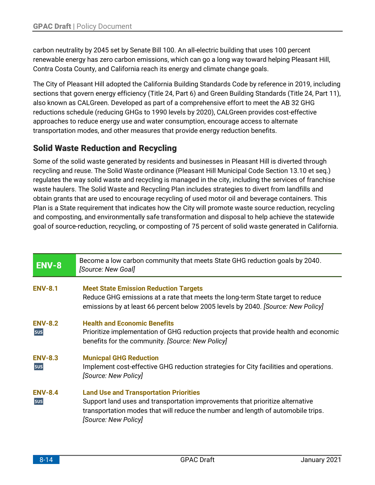carbon neutrality by 2045 set by Senate Bill 100. An all-electric building that uses 100 percent renewable energy has zero carbon emissions, which can go a long way toward helping Pleasant Hill, Contra Costa County, and California reach its energy and climate change goals.

The City of Pleasant Hill adopted the California Building Standards Code by reference in 2019, including sections that govern energy efficiency (Title 24, Part 6) and Green Building Standards (Title 24, Part 11), also known as CALGreen. Developed as part of a comprehensive effort to meet the AB 32 GHG reductions schedule (reducing GHGs to 1990 levels by 2020), CALGreen provides cost-effective approaches to reduce energy use and water consumption, encourage access to alternate transportation modes, and other measures that provide energy reduction benefits.

# **Solid Waste Reduction and Recycling**

Some of the solid waste generated by residents and businesses in Pleasant Hill is diverted through recycling and reuse. The Solid Waste ordinance (Pleasant Hill Municipal Code Section 13.10 et seq.) regulates the way solid waste and recycling is managed in the city, including the services of franchise waste haulers. The Solid Waste and Recycling Plan includes strategies to divert from landfills and obtain grants that are used to encourage recycling of used motor oil and beverage containers. This Plan is a State requirement that indicates how the City will promote waste source reduction, recycling and composting, and environmentally safe transformation and disposal to help achieve the statewide goal of source-reduction, recycling, or composting of 75 percent of solid waste generated in California.

| ENV-8                 | Become a low carbon community that meets State GHG reduction goals by 2040.<br>[Source: New Goal]                                                                                                                                          |
|-----------------------|--------------------------------------------------------------------------------------------------------------------------------------------------------------------------------------------------------------------------------------------|
| <b>ENV-8.1</b>        | <b>Meet State Emission Reduction Targets</b><br>Reduce GHG emissions at a rate that meets the long-term State target to reduce<br>emissions by at least 66 percent below 2005 levels by 2040. [Source: New Policy]                         |
| <b>ENV-8.2</b><br>sus | <b>Health and Economic Benefits</b><br>Prioritize implementation of GHG reduction projects that provide health and economic<br>benefits for the community. [Source: New Policy]                                                            |
| <b>ENV-8.3</b><br>sus | <b>Municpal GHG Reduction</b><br>Implement cost-effective GHG reduction strategies for City facilities and operations.<br>[Source: New Policy]                                                                                             |
| <b>ENV-8.4</b><br>sus | <b>Land Use and Transportation Priorities</b><br>Support land uses and transportation improvements that prioritize alternative<br>transportation modes that will reduce the number and length of automobile trips.<br>[Source: New Policy] |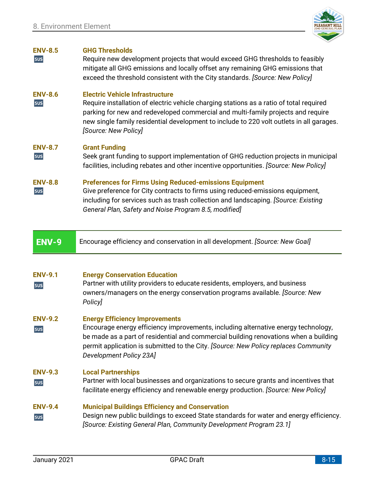

### **ENV-8.5 GHG Thresholds**

sus Require new development projects that would exceed GHG thresholds to feasibly mitigate all GHG emissions and locally offset any remaining GHG emissions that exceed the threshold consistent with the City standards. *[Source: New Policy]*

### **ENV-8.6 Electric Vehicle Infrastructure**

sus Require installation of electric vehicle charging stations as a ratio of total required parking for new and redeveloped commercial and multi-family projects and require new single family residential development to include to 220 volt outlets in all garages. *[Source: New Policy]*

### **ENV-8.7 Grant Funding**

sus Seek grant funding to support implementation of GHG reduction projects in municipal facilities, including rebates and other incentive opportunities. *[Source: New Policy]*

### **ENV-8.8 Preferences for Firms Using Reduced-emissions Equipment**

sus Give preference for City contracts to firms using reduced-emissions equipment, including for services such as trash collection and landscaping. *[Source: Existing General Plan, Safety and Noise Program 8.5, modified]*

**ENV-9** Encourage efficiency and conservation in all development. *[Source: New Goal]*

### **ENV-9.1 Energy Conservation Education**

- Partner with utility providers to educate residents, employers, and business sus owners/managers on the energy conservation programs available. *[Source: New Policy]*
- **ENV-9.2 Energy Efficiency Improvements**
- Encourage energy efficiency improvements, including alternative energy technology, sus be made as a part of residential and commercial building renovations when a building permit application is submitted to the City. *[Source: New Policy replaces Community Development Policy 23A]*

### **ENV-9.3 Local Partnerships**

Partner with local businesses and organizations to secure grants and incentives that sus facilitate energy efficiency and renewable energy production. *[Source: New Policy]*

### **ENV-9.4 Municipal Buildings Efficiency and Conservation**

Design new public buildings to exceed State standards for water and energy efficiency. sus *[Source: Existing General Plan, Community Development Program 23.1]*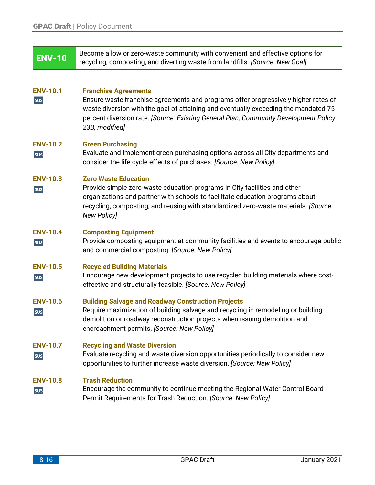| <b>ENV-10</b>          | Become a low or zero-waste community with convenient and effective options for<br>recycling, composting, and diverting waste from landfills. [Source: New Goal]                                                                                                                                                    |
|------------------------|--------------------------------------------------------------------------------------------------------------------------------------------------------------------------------------------------------------------------------------------------------------------------------------------------------------------|
| <b>ENV-10.1</b><br>sus | <b>Franchise Agreements</b><br>Ensure waste franchise agreements and programs offer progressively higher rates of<br>waste diversion with the goal of attaining and eventually exceeding the mandated 75<br>percent diversion rate. [Source: Existing General Plan, Community Development Policy<br>23B, modified] |
| <b>ENV-10.2</b><br>sus | <b>Green Purchasing</b><br>Evaluate and implement green purchasing options across all City departments and<br>consider the life cycle effects of purchases. [Source: New Policy]                                                                                                                                   |
| <b>ENV-10.3</b><br>sus | <b>Zero Waste Education</b><br>Provide simple zero-waste education programs in City facilities and other<br>organizations and partner with schools to facilitate education programs about<br>recycling, composting, and reusing with standardized zero-waste materials. [Source:<br><b>New Policy]</b>             |
| <b>ENV-10.4</b><br>sus | <b>Composting Equipment</b><br>Provide composting equipment at community facilities and events to encourage public<br>and commercial composting. [Source: New Policy]                                                                                                                                              |
| <b>ENV-10.5</b><br>sus | <b>Recycled Building Materials</b><br>Encourage new development projects to use recycled building materials where cost-<br>effective and structurally feasible. [Source: New Policy]                                                                                                                               |
| <b>ENV-10.6</b><br>sus | <b>Building Salvage and Roadway Construction Projects</b><br>Require maximization of building salvage and recycling in remodeling or building<br>demolition or roadway reconstruction projects when issuing demolition and<br>encroachment permits. [Source: New Policy]                                           |
| <b>ENV-10.7</b><br>sus | <b>Recycling and Waste Diversion</b><br>Evaluate recycling and waste diversion opportunities periodically to consider new<br>opportunities to further increase waste diversion. [Source: New Policy]                                                                                                               |
| <b>ENV-10.8</b><br>sus | <b>Trash Reduction</b><br>Encourage the community to continue meeting the Regional Water Control Board<br>Permit Requirements for Trash Reduction. [Source: New Policy]                                                                                                                                            |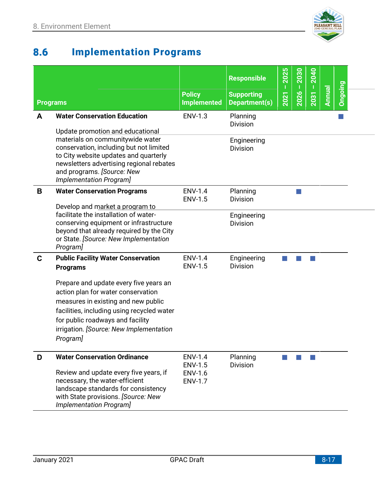

### <span id="page-16-0"></span>8.6 **Implementation Programs**

|                 |                                                                                                                                                                                                                                                              | <b>Policy</b>                                                        | <b>Responsible</b><br><b>Supporting</b> | 2025<br>п<br>2021 | 2030<br>T<br>2026 | 2040<br>$\mathbf I$<br>2031 | Annual | Ongoing |  |
|-----------------|--------------------------------------------------------------------------------------------------------------------------------------------------------------------------------------------------------------------------------------------------------------|----------------------------------------------------------------------|-----------------------------------------|-------------------|-------------------|-----------------------------|--------|---------|--|
| <b>Programs</b> |                                                                                                                                                                                                                                                              | <b>Implemented</b>                                                   | Department(s)                           |                   |                   |                             |        |         |  |
| A               | <b>Water Conservation Education</b><br>Update promotion and educational                                                                                                                                                                                      | <b>ENV-1.3</b>                                                       | Planning<br><b>Division</b>             |                   |                   |                             |        |         |  |
|                 | materials on communitywide water<br>conservation, including but not limited<br>to City website updates and quarterly<br>newsletters advertising regional rebates<br>and programs. [Source: New<br>Implementation Program]                                    |                                                                      | Engineering<br><b>Division</b>          |                   |                   |                             |        |         |  |
| B               | <b>Water Conservation Programs</b><br>Develop and market a program to                                                                                                                                                                                        | <b>ENV-1.4</b><br><b>ENV-1.5</b>                                     | Planning<br><b>Division</b>             |                   |                   |                             |        |         |  |
|                 | facilitate the installation of water-<br>conserving equipment or infrastructure<br>beyond that already required by the City<br>or State. [Source: New Implementation<br>Program]                                                                             |                                                                      | Engineering<br><b>Division</b>          |                   |                   |                             |        |         |  |
| C               | <b>Public Facility Water Conservation</b><br><b>Programs</b>                                                                                                                                                                                                 | <b>ENV-1.4</b><br><b>ENV-1.5</b>                                     | Engineering<br><b>Division</b>          |                   |                   |                             |        |         |  |
|                 | Prepare and update every five years an<br>action plan for water conservation<br>measures in existing and new public<br>facilities, including using recycled water<br>for public roadways and facility<br>irrigation. [Source: New Implementation<br>Program] |                                                                      |                                         |                   |                   |                             |        |         |  |
| D               | <b>Water Conservation Ordinance</b><br>Review and update every five years, if<br>necessary, the water-efficient<br>landscape standards for consistency<br>with State provisions. [Source: New<br>Implementation Program]                                     | <b>ENV-1.4</b><br><b>ENV-1.5</b><br><b>ENV-1.6</b><br><b>ENV-1.7</b> | Planning<br><b>Division</b>             |                   |                   |                             |        |         |  |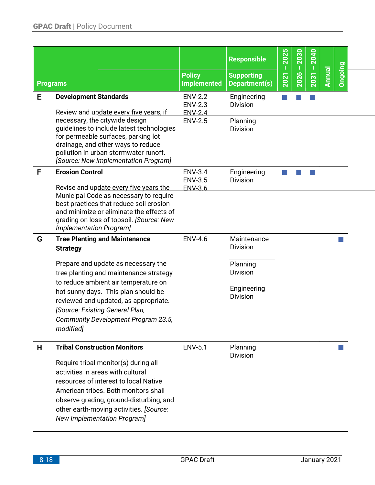|   | <b>Programs</b>                                                                                                                                                                                                                                                                 | <b>Policy</b><br><b>Implemented</b>                | <b>Responsible</b><br><b>Supporting</b><br>Department(s) | 2025<br>Т<br>2021 | 2030<br>T<br>2026 | 2040<br>T<br>2031 | <b>Annual</b> | Ongoing |  |
|---|---------------------------------------------------------------------------------------------------------------------------------------------------------------------------------------------------------------------------------------------------------------------------------|----------------------------------------------------|----------------------------------------------------------|-------------------|-------------------|-------------------|---------------|---------|--|
| Е | <b>Development Standards</b><br>Review and update every five years, if                                                                                                                                                                                                          | <b>ENV-2.2</b><br><b>ENV-2.3</b><br><b>ENV-2.4</b> | Engineering<br><b>Division</b>                           |                   |                   |                   |               |         |  |
|   | necessary, the citywide design<br>guidelines to include latest technologies<br>for permeable surfaces, parking lot<br>drainage, and other ways to reduce<br>pollution in urban stormwater runoff.<br>[Source: New Implementation Program]                                       | <b>ENV-2.5</b>                                     | Planning<br><b>Division</b>                              |                   |                   |                   |               |         |  |
| F | <b>Erosion Control</b>                                                                                                                                                                                                                                                          | <b>ENV-3.4</b><br><b>ENV-3.5</b>                   | Engineering<br><b>Division</b>                           |                   |                   |                   |               |         |  |
|   | Revise and update every five years the<br>Municipal Code as necessary to require<br>best practices that reduce soil erosion<br>and minimize or eliminate the effects of<br>grading on loss of topsoil. [Source: New<br>Implementation Program]                                  | <b>ENV-3.6</b>                                     |                                                          |                   |                   |                   |               |         |  |
| G | <b>Tree Planting and Maintenance</b><br><b>Strategy</b>                                                                                                                                                                                                                         | <b>ENV-4.6</b>                                     | Maintenance<br><b>Division</b>                           |                   |                   |                   |               |         |  |
|   | Prepare and update as necessary the<br>tree planting and maintenance strategy<br>to reduce ambient air temperature on                                                                                                                                                           |                                                    | Planning<br><b>Division</b>                              |                   |                   |                   |               |         |  |
|   | hot sunny days. This plan should be<br>reviewed and updated, as appropriate.<br>[Source: Existing General Plan,<br>Community Development Program 23.5,<br>modified]                                                                                                             |                                                    | Engineering<br><b>Division</b>                           |                   |                   |                   |               |         |  |
| Н | <b>Tribal Construction Monitors</b>                                                                                                                                                                                                                                             | <b>ENV-5.1</b>                                     | Planning<br><b>Division</b>                              |                   |                   |                   |               |         |  |
|   | Require tribal monitor(s) during all<br>activities in areas with cultural<br>resources of interest to local Native<br>American tribes. Both monitors shall<br>observe grading, ground-disturbing, and<br>other earth-moving activities. [Source:<br>New Implementation Program] |                                                    |                                                          |                   |                   |                   |               |         |  |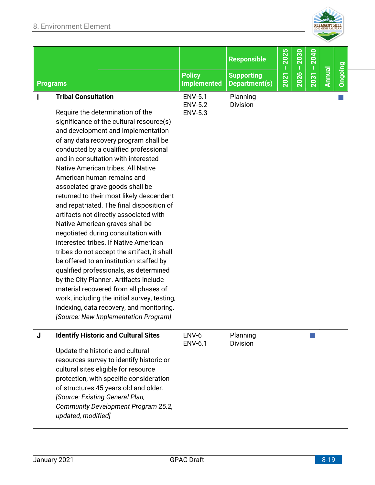

|          |                                                                | <b>Policy</b>                                      | <b>Responsible</b><br><b>Supporting</b> | 2025<br>↽ | 2030<br>2026 | 2040<br>2031 | <b>Ienual</b> | Dingoing |
|----------|----------------------------------------------------------------|----------------------------------------------------|-----------------------------------------|-----------|--------------|--------------|---------------|----------|
| Programs |                                                                | <b>Implemented</b>                                 | Department(s)                           | 202       |              |              | a             |          |
|          | <b>Tribal Consultation</b><br>Require the determination of the | <b>ENV-5.1</b><br><b>ENV-5.2</b><br><b>ENV-5.3</b> | Planning<br><b>Division</b>             |           |              |              |               |          |

significance of the cultural resource(s) and development and implementation of any data recovery program shall be conducted by a qualified professional and in consultation with interested Native American tribes. All Native American human remains and associated grave goods shall be returned to their most likely descendent and repatriated. The final disposition of artifacts not directly associated with Native American graves shall be negotiated during consultation with interested tribes. If Native American tribes do not accept the artifact, it shall be offered to an institution staffed by qualified professionals, as determined by the City Planner. Artifacts include material recovered from all phases of work, including the initial survey, testing, indexing, data recovery, and monitoring. *[Source: New Implementation Program]*

| J | <b>Identify Historic and Cultural Sites</b> | ENV-6<br><b>ENV-6.1</b> | Planning<br><b>Division</b> |  |
|---|---------------------------------------------|-------------------------|-----------------------------|--|
|   | Update the historic and cultural            |                         |                             |  |
|   | resources survey to identify historic or    |                         |                             |  |
|   | cultural sites eligible for resource        |                         |                             |  |
|   | protection, with specific consideration     |                         |                             |  |
|   | of structures 45 years old and older.       |                         |                             |  |
|   | [Source: Existing General Plan,             |                         |                             |  |
|   | Community Development Program 25.2,         |                         |                             |  |
|   | updated, modified]                          |                         |                             |  |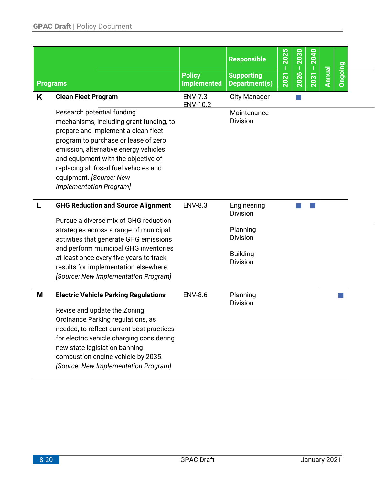|                 |                                                                                                                                                                                                                                                                                                                                      |                                     | <b>Responsible</b>                                                | 2025<br>$\mathbf I$ | 2030 | 2040 |        |         |  |
|-----------------|--------------------------------------------------------------------------------------------------------------------------------------------------------------------------------------------------------------------------------------------------------------------------------------------------------------------------------------|-------------------------------------|-------------------------------------------------------------------|---------------------|------|------|--------|---------|--|
| <b>Programs</b> |                                                                                                                                                                                                                                                                                                                                      | <b>Policy</b><br><b>Implemented</b> | <b>Supporting</b><br>Department(s)                                | 2021                | 2026 | 2031 | Annual | Ongoing |  |
| K               | <b>Clean Fleet Program</b>                                                                                                                                                                                                                                                                                                           | <b>ENV-7.3</b><br>ENV-10.2          | <b>City Manager</b>                                               |                     |      |      |        |         |  |
|                 | Research potential funding<br>mechanisms, including grant funding, to<br>prepare and implement a clean fleet<br>program to purchase or lease of zero<br>emission, alternative energy vehicles<br>and equipment with the objective of<br>replacing all fossil fuel vehicles and<br>equipment. [Source: New<br>Implementation Program] |                                     | Maintenance<br><b>Division</b>                                    |                     |      |      |        |         |  |
|                 | <b>GHG Reduction and Source Alignment</b><br>Pursue a diverse mix of GHG reduction                                                                                                                                                                                                                                                   | <b>ENV-8.3</b>                      | Engineering<br><b>Division</b>                                    |                     |      |      |        |         |  |
|                 | strategies across a range of municipal<br>activities that generate GHG emissions<br>and perform municipal GHG inventories<br>at least once every five years to track<br>results for implementation elsewhere.                                                                                                                        |                                     | Planning<br><b>Division</b><br><b>Building</b><br><b>Division</b> |                     |      |      |        |         |  |
|                 | [Source: New Implementation Program]                                                                                                                                                                                                                                                                                                 |                                     |                                                                   |                     |      |      |        |         |  |
| M               | <b>Electric Vehicle Parking Regulations</b><br>Revise and update the Zoning<br>Ordinance Parking regulations, as<br>needed, to reflect current best practices<br>for electric vehicle charging considering<br>new state legislation banning<br>combustion engine vehicle by 2035.<br>[Source: New Implementation Program]            | <b>ENV-8.6</b>                      | Planning<br><b>Division</b>                                       |                     |      |      |        |         |  |